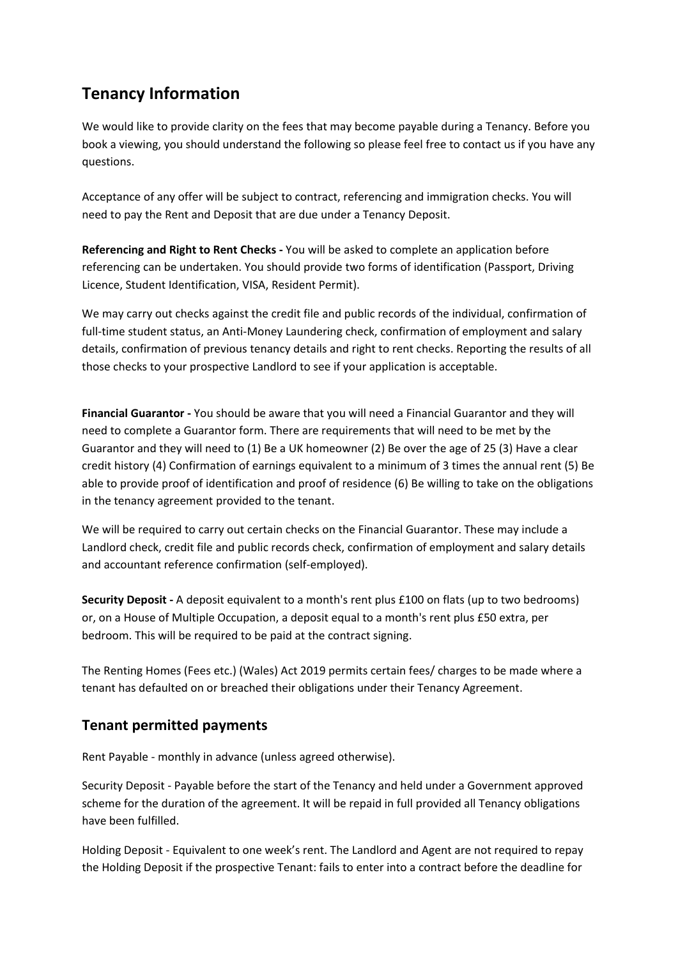## **Tenancy Information**

We would like to provide clarity on the fees that may become payable during a Tenancy. Before you book a viewing, you should understand the following so please feel free to contact us if you have any questions.

Acceptance of any offer will be subject to contract, referencing and immigration checks. You will need to pay the Rent and Deposit that are due under a Tenancy Deposit.

**Referencing and Right to Rent Checks -** You will be asked to complete an application before referencing can be undertaken. You should provide two forms of identification (Passport, Driving Licence, Student Identification, VISA, Resident Permit).

We may carry out checks against the credit file and public records of the individual, confirmation of full-time student status, an Anti-Money Laundering check, confirmation of employment and salary details, confirmation of previous tenancy details and right to rent checks. Reporting the results of all those checks to your prospective Landlord to see if your application is acceptable.

**Financial Guarantor -** You should be aware that you will need a Financial Guarantor and they will need to complete a Guarantor form. There are requirements that will need to be met by the Guarantor and they will need to (1) Be a UK homeowner (2) Be over the age of 25 (3) Have a clear credit history (4) Confirmation of earnings equivalent to a minimum of 3 times the annual rent (5) Be able to provide proof of identification and proof of residence (6) Be willing to take on the obligations in the tenancy agreement provided to the tenant.

We will be required to carry out certain checks on the Financial Guarantor. These may include a Landlord check, credit file and public records check, confirmation of employment and salary details and accountant reference confirmation (self-employed).

**Security Deposit -** A deposit equivalent to a month's rent plus £100 on flats (up to two bedrooms) or, on a House of Multiple Occupation, a deposit equal to a month's rent plus £50 extra, per bedroom. This will be required to be paid at the contract signing.

The Renting Homes (Fees etc.) (Wales) Act 2019 permits certain fees/ charges to be made where a tenant has defaulted on or breached their obligations under their Tenancy Agreement.

## **Tenant permitted payments**

Rent Payable - monthly in advance (unless agreed otherwise).

Security Deposit - Payable before the start of the Tenancy and held under a Government approved scheme for the duration of the agreement. It will be repaid in full provided all Tenancy obligations have been fulfilled.

Holding Deposit - Equivalent to one week's rent. The Landlord and Agent are not required to repay the Holding Deposit if the prospective Tenant: fails to enter into a contract before the deadline for